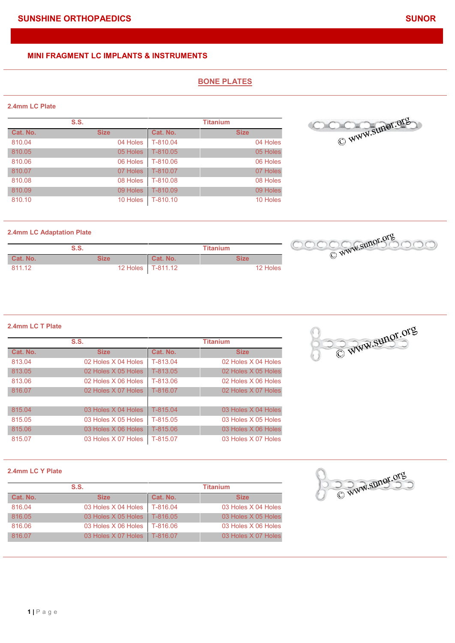# **BONE PLATES**

### **2.4mm LC Plate**

|          | S.S.        |            | <b>Titanium</b> |
|----------|-------------|------------|-----------------|
| Cat. No. | <b>Size</b> | Cat. No.   | <b>Size</b>     |
| 810.04   | 04 Holes    | T-810.04   | 04 Holes        |
| 810.05   | 05 Holes    | T-810.05   | 05 Holes        |
| 810.06   | 06 Holes    | T-810.06   | 06 Holes        |
| 810.07   | 07 Holes    | T-810.07   | 07 Holes        |
| 810.08   | 08 Holes    | T-810.08   | 08 Holes        |
| 810.09   | 09 Holes    | T-810.09   | 09 Holes        |
| 810.10   | 10 Holes    | $T-810.10$ | 10 Holes        |



#### **2.4mm LC Adaptation Plate**

|          | S.S. |          |            | Titanium    |          |  |
|----------|------|----------|------------|-------------|----------|--|
| Cat. No. | Size |          | Cat. No.   | <b>Size</b> |          |  |
| 811.12   |      | 12 Holes | $T-811.12$ |             | 12 Holes |  |



#### **2.4mm LC T Plate**

| S.S.     |                     | <b>Titanium</b> |                     |
|----------|---------------------|-----------------|---------------------|
| Cat. No. | <b>Size</b>         | Cat. No.        | <b>Size</b>         |
| 813.04   | 02 Holes X 04 Holes | T-813.04        | 02 Holes X 04 Holes |
| 813.05   | 02 Holes X 05 Holes | T-813.05        | 02 Holes X 05 Holes |
| 813.06   | 02 Holes X 06 Holes | T-813.06        | 02 Holes X 06 Holes |
| 816.07   | 02 Holes X 07 Holes | T-816.07        | 02 Holes X 07 Holes |
|          |                     |                 |                     |
| 815.04   | 03 Holes X 04 Holes | T-815.04        | 03 Holes X 04 Holes |
| 815.05   | 03 Holes X 05 Holes | T-815.05        | 03 Holes X 05 Holes |
| 815.06   | 03 Holes X 06 Holes | T-815.06        | 03 Holes X 06 Holes |
| 815.07   | 03 Holes X 07 Holes | T-815.07        | 03 Holes X 07 Holes |



#### **2.4mm LC Y Plate**

| S.S.     |                                | <b>Titanium</b> |                     |
|----------|--------------------------------|-----------------|---------------------|
| Cat. No. | <b>Size</b>                    | Cat. No.        | <b>Size</b>         |
| 816.04   | 03 Holes X 04 Holes            | T-816.04        | 03 Holes X 04 Holes |
| 816.05   | 03 Holes X 05 Holes            | T-816.05        | 03 Holes X 05 Holes |
| 816.06   | 03 Holes X 06 Holes            | T-816.06        | 03 Holes X 06 Holes |
| 816.07   | 03 Holes X 07 Holes   T-816.07 |                 | 03 Holes X 07 Holes |

C WWW.Sunor.org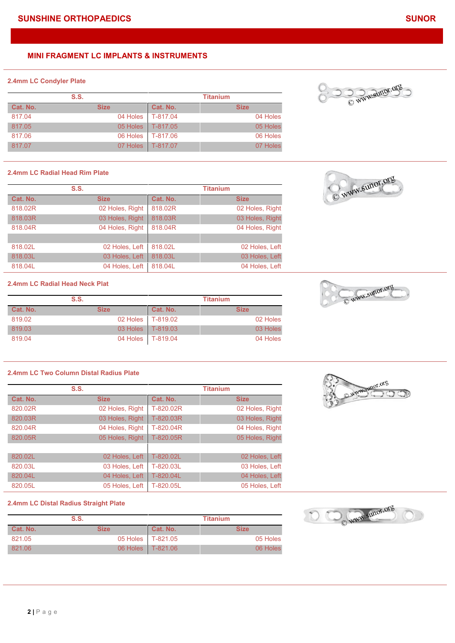#### **2.4mm LC Condyler Plate**

| S.S.     |             | <b>Titanium</b>     |             |
|----------|-------------|---------------------|-------------|
| Cat. No. | <b>Size</b> | Cat. No.            | <b>Size</b> |
| 817.04   | 04 Holes    | $T-817.04$          | 04 Holes    |
| 817.05   |             | 05 Holes   T-817.05 | 05 Holes    |
| 817.06   | 06 Holes    | T-817.06            | 06 Holes    |
| 817.07   |             | 07 Holes T-817.07   | 07 Holes    |

#### **2.4mm LC Radial Head Rim Plate**

|          | S.S.            |          | <b>Titanium</b> |
|----------|-----------------|----------|-----------------|
| Cat. No. | <b>Size</b>     | Cat. No. | <b>Size</b>     |
| 818,02R  | 02 Holes, Right | 818,02R  | 02 Holes, Right |
| 818,03R  | 03 Holes, Right | 818,03R  | 03 Holes, Right |
| 818,04R  | 04 Holes, Right | 818,04R  | 04 Holes, Right |
|          |                 |          |                 |
| 818.02L  | 02 Holes, Left  | 818.02L  | 02 Holes, Left  |
| 818.03L  | 03 Holes, Left  | 818.03L  | 03 Holes, Left  |
| 818.04L  | 04 Holes, Left  | 818.04L  | 04 Holes, Left  |

# **2.4mm LC Radial Head Neck Plat**

|          | S.S.        |                     | <b>Titanium</b> |
|----------|-------------|---------------------|-----------------|
| Cat. No. | <b>Size</b> | Cat. No.            | <b>Size</b>     |
| 819.02   |             | 02 Holes   T-819.02 | 02 Holes        |
| 819.03   |             | 03 Holes   T-819.03 | 03 Holes        |
| 819.04   |             | 04 Holes   T-819.04 | 04 Holes        |

# **2.4mm LC Two Column Distal Radius Plate**

|          | S.S.            |           | <b>Titanium</b> |
|----------|-----------------|-----------|-----------------|
| Cat. No. | <b>Size</b>     | Cat. No.  | <b>Size</b>     |
| 820.02R  | 02 Holes, Right | T-820.02R | 02 Holes, Right |
| 820.03R  | 03 Holes, Right | T-820.03R | 03 Holes, Right |
| 820.04R  | 04 Holes, Right | T-820.04R | 04 Holes, Right |
| 820.05R  | 05 Holes, Right | T-820.05R | 05 Holes, Right |
|          |                 |           |                 |
| 820.02L  | 02 Holes, Left  | T-820.02L | 02 Holes, Left  |
| 820.03L  | 03 Holes, Left  | T-820.03L | 03 Holes, Left  |
| 820.04L  | 04 Holes, Left  | T-820.04L | 04 Holes, Left  |
| 820.05L  | 05 Holes, Left  | T-820.05L | 05 Holes, Left  |

#### **2.4mm LC Distal Radius Straight Plate**

|          | S.S.        |                     | <b>Titanium</b> |
|----------|-------------|---------------------|-----------------|
| Cat. No. | <b>Size</b> | Cat. No.            | <b>Size</b>     |
| 821.05   |             | 05 Holes T-821.05   | 05 Holes        |
| 821.06   |             | 06 Holes   T-821.06 | 06 Holes        |





C WWW.Sunor.org

C www.sunor.org



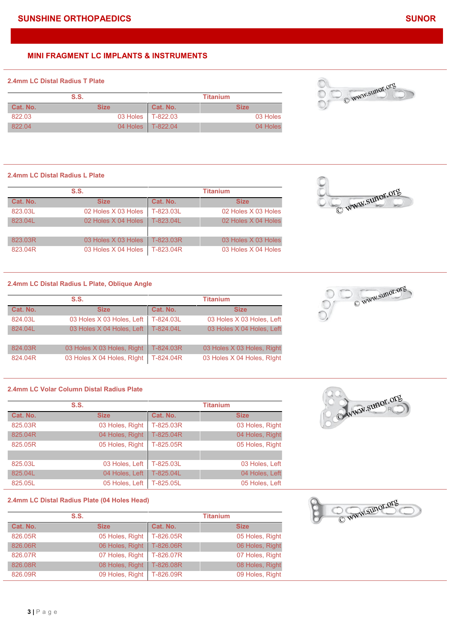#### **2.4mm LC Distal Radius T Plate**

| S.S.     |             | <b>Titanium</b> |                     |             |
|----------|-------------|-----------------|---------------------|-------------|
| Cat. No. | <b>Size</b> |                 | Cat. No.            | <b>Size</b> |
| 822.03   |             |                 | 03 Holes   T-822.03 | 03 Holes    |
| 822.04   |             |                 | 04 Holes   T-822.04 | 04 Holes    |

#### **2.4mm LC Distal Radius L Plate**

| S.S.     |                     | <b>Titanium</b> |                     |
|----------|---------------------|-----------------|---------------------|
| Cat. No. | <b>Size</b>         | Cat. No.        | <b>Size</b>         |
| 823.03L  | 02 Holes X 03 Holes | T-823.03L       | 02 Holes X 03 Holes |
| 823.04L  | 02 Holes X 04 Holes | T-823.04L       | 02 Holes X 04 Holes |
|          |                     |                 |                     |
| 823.03R  | 03 Holes X 03 Holes | T-823.03R       | 03 Holes X 03 Holes |
| 823.04R  | 03 Holes X 04 Holes | T-823.04R       | 03 Holes X 04 Holes |

**2.4mm LC Distal Radius L Plate, Oblique Angle**

| S.S.     |                            | <b>Titanium</b> |                            |
|----------|----------------------------|-----------------|----------------------------|
| Cat. No. | <b>Size</b>                | Cat. No.        | <b>Size</b>                |
| 824.03L  | 03 Holes X 03 Holes, Left  | T-824.03L       | 03 Holes X 03 Holes, Left  |
| 824.04L  | 03 Holes X 04 Holes, Left  | T-824.04L       | 03 Holes X 04 Holes, Left  |
|          |                            |                 |                            |
| 824.03R  | 03 Holes X 03 Holes, Right | T-824.03R       | 03 Holes X 03 Holes, Right |
| 824.04R  | 03 Holes X 04 Holes, Right | T-824.04R       | 03 Holes X 04 Holes, Right |

# **2.4mm LC Volar Column Distal Radius Plate**

|          | S.S.            |           | <b>Titanium</b> |
|----------|-----------------|-----------|-----------------|
| Cat. No. | <b>Size</b>     | Cat. No.  | <b>Size</b>     |
| 825,03R  | 03 Holes, Right | T-825.03R | 03 Holes, Right |
| 825.04R  | 04 Holes, Right | T-825.04R | 04 Holes, Right |
| 825,05R  | 05 Holes, Right | T-825.05R | 05 Holes, Right |
|          |                 |           |                 |
| 825.03L  | 03 Holes, Left  | T-825.03L | 03 Holes, Left  |
| 825.04L  | 04 Holes, Left  | T-825.04L | 04 Holes, Left  |
| 825.05L  | 05 Holes, Left  | T-825.05L | 05 Holes, Left  |

#### **2.4mm LC Distal Radius Plate (04 Holes Head)**

|                   | S.S.            |           | <b>Titanium</b> |
|-------------------|-----------------|-----------|-----------------|
| Cat. No.          | <b>Size</b>     | Cat. No.  | <b>Size</b>     |
| 826,05R           | 05 Holes, Right | T-826.05R | 05 Holes, Right |
| 826,06R           | 06 Holes, Right | T-826,06R | 06 Holes, Right |
| 826.07R           | 07 Holes, Right | T-826.07R | 07 Holes, Right |
| 826,08R           | 08 Holes, Right | T-826,08R | 08 Holes, Right |
| 826.09R           | 09 Holes, Right | T-826.09R | 09 Holes, Right |
|                   |                 |           |                 |
|                   |                 |           |                 |
|                   |                 |           |                 |
| $3 P \text{ age}$ |                 |           |                 |
|                   |                 |           |                 |



OWWW.SUNOT.org





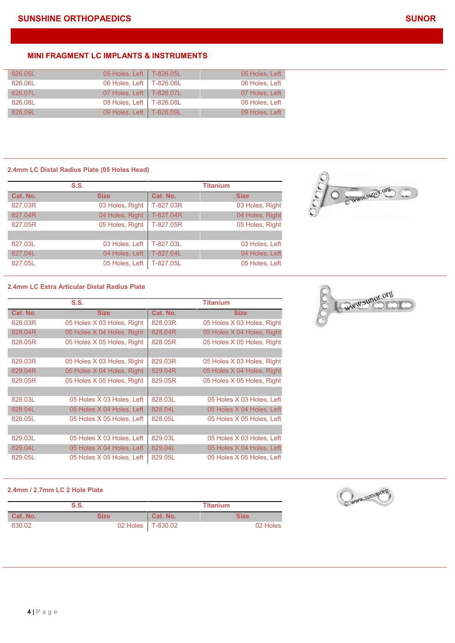| 826.05L | 05 Holes, Left   T-826.05L | 05 Holes, Left |
|---------|----------------------------|----------------|
| 826.06L | 06 Holes, Left   T-826.06L | 06 Holes, Left |
| 826.07L | 07 Holes, Left   T-826.07L | 07 Holes, Left |
| 826.08L | 08 Holes, Left   T-826.08L | 08 Holes, Left |
| 826.09L | 09 Holes, Left   T-826.09L | 09 Holes, Left |

# **2.4mm LC Distal Radius Plate (05 Holes Head)**

|          | S.S.            |           | <b>Titanium</b> |
|----------|-----------------|-----------|-----------------|
| Cat. No. | <b>Size</b>     | Cat. No.  | <b>Size</b>     |
| 827.03R  | 03 Holes, Right | T-827.03R | 03 Holes, Right |
| 827.04R  | 04 Holes, Right | T-827.04R | 04 Holes, Right |
| 827.05R  | 05 Holes, Right | T-827.05R | 05 Holes, Right |
|          |                 |           |                 |
| 827.03L  | 03 Holes, Left  | T-827.03L | 03 Holes, Left  |
| 827.04L  | 04 Holes, Left  | T-827.04L | 04 Holes, Left  |
| 827.05L  | 05 Holes, Left  | T-827.05L | 05 Holes, Left  |



#### **2.4mm LC Extra Articular Distal Radius Plate**

|          | S.S.                       |          | <b>Titanium</b>            |
|----------|----------------------------|----------|----------------------------|
| Cat. No. | <b>Size</b>                | Cat. No. | <b>Size</b>                |
| 828,03R  | 05 Holes X 03 Holes, Right | 828,03R  | 05 Holes X 03 Holes, Right |
| 828.04R  | 05 Holes X 04 Holes, Right | 828.04R  | 05 Holes X 04 Holes, Right |
| 828.05R  | 05 Holes X 05 Holes, Right | 828,05R  | 05 Holes X 05 Holes, Right |
|          |                            |          |                            |
| 829.03R  | 05 Holes X 03 Holes, Right | 829.03R  | 05 Holes X 03 Holes, Right |
| 829.04R  | 05 Holes X 04 Holes, Right | 829.04R  | 05 Holes X 04 Holes, Right |
| 829.05R  | 05 Holes X 05 Holes, Right | 829.05R  | 05 Holes X 05 Holes, Right |
|          |                            |          |                            |
| 828.03L  | 05 Holes X 03 Holes, Left  | 828.03L  | 05 Holes X 03 Holes, Left  |
| 828.04L  | 05 Holes X 04 Holes, Left  | 828.04L  | 05 Holes X 04 Holes, Left  |
| 828.05L  | 05 Holes X 05 Holes, Left  | 828.05L  | 05 Holes X 05 Holes, Left  |
|          |                            |          |                            |
| 829.03L  | 05 Holes X 03 Holes, Left  | 829.03L  | 05 Holes X 03 Holes, Left  |
| 829.04L  | 05 Holes X 04 Holes, Left  | 829.04L  | 05 Holes X 04 Holes, Left  |
| 829.05L  | 05 Holes X 05 Holes, Left  | 829.05L  | 05 Holes X 05 Holes, Left  |

# C WWW.Sunor.org

#### **2.4mm / 2.7mm LC 2 Hole Plate**

| S.S.     |      | <b>Titanium</b>     |             |
|----------|------|---------------------|-------------|
| Cat. No. | Size | Cat. No.            | <b>Size</b> |
| 830.02   |      | 02 Holes   T-830.02 | 02 Holes    |

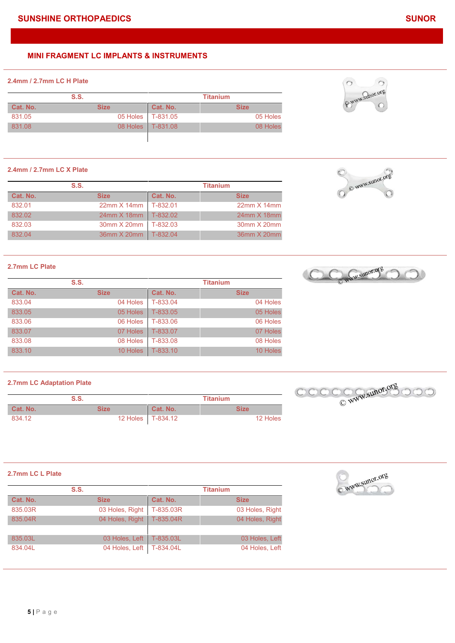# **2.4mm / 2.7mm LC H Plate**

| S.S.     |             | <b>Titanium</b>     |             |
|----------|-------------|---------------------|-------------|
| Cat. No. | <b>Size</b> | Cat. No.            | <b>Size</b> |
| 831.05   |             | 05 Holes   T-831.05 | 05 Holes    |
| 831.08   | 08 Holes    | T-831.08            | 08 Holes    |
|          |             |                     |             |

#### **2.4mm / 2.7mm LC X Plate**

| S.S.     |                      | <b>Titanium</b> |                    |
|----------|----------------------|-----------------|--------------------|
| Cat. No. | <b>Size</b>          | Cat. No.        | <b>Size</b>        |
| 832.01   | $22mm \times 14mm$   | $T-832.01$      | $22mm \times 14mm$ |
| 832.02   | 24mm X 18mm T-832.02 |                 | $24$ mm $X$ 18mm   |
| 832.03   | 30mm X 20mm          | $T-832.03$      | 30mm X 20mm        |
| 832.04   | 36mm X 20mm T-832.04 |                 | 36mm X 20mm        |

# **2.7mm LC Plate**

| S.S.     |             | <b>Titanium</b> |             |
|----------|-------------|-----------------|-------------|
| Cat. No. | <b>Size</b> | Cat. No.        | <b>Size</b> |
| 833.04   | 04 Holes    | T-833.04        | 04 Holes    |
| 833.05   | 05 Holes    | T-833.05        | 05 Holes    |
| 833.06   | 06 Holes    | T-833.06        | 06 Holes    |
| 833.07   | 07 Holes    | T-833.07        | 07 Holes    |
| 833.08   | 08 Holes    | T-833.08        | 08 Holes    |
| 833.10   | 10 Holes    | T-833.10        | 10 Holes    |

#### **2.7mm LC Adaptation Plate**

| S.S.     |             | Titanium |             | ے |
|----------|-------------|----------|-------------|---|
| Cat. No. | <b>Size</b> | Cat. No. | <b>Size</b> |   |
| 834.12   | 12 Holes    | T-834.12 | 12 Holes    |   |

#### **2.7mm LC L Plate**

| S.S.     |                 | <b>Titanium</b> |                 |
|----------|-----------------|-----------------|-----------------|
| Cat. No. | <b>Size</b>     | Cat. No.        | <b>Size</b>     |
| 835.03R  | 03 Holes, Right | T-835.03R       | 03 Holes, Right |
| 835.04R  | 04 Holes, Right | T-835.04R       | 04 Holes, Right |
|          |                 |                 |                 |
| 835.03L  | 03 Holes, Left  | T-835.03L       | 03 Holes, Left  |
| 834.04L  | 04 Holes, Left  | T-834.04L       | 04 Holes, Left  |



 $\circ$ 

E WWW.Sunor.org







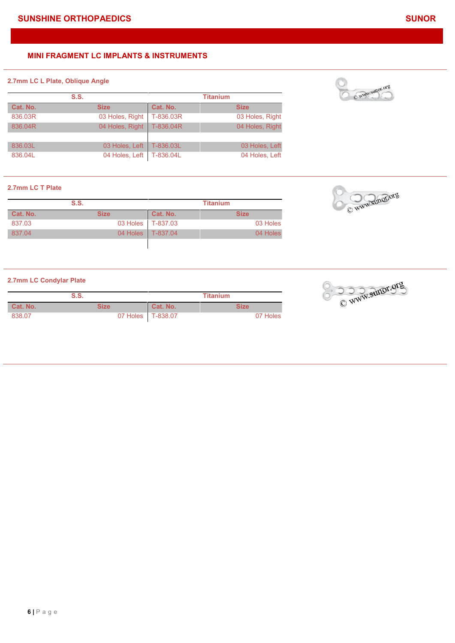# **2.7mm LC L Plate, Oblique Angle**

| S.S.     |                 | <b>Titanium</b> |                 |
|----------|-----------------|-----------------|-----------------|
| Cat. No. | <b>Size</b>     | Cat. No.        | <b>Size</b>     |
| 836,03R  | 03 Holes, Right | T-836.03R       | 03 Holes, Right |
| 836,04R  | 04 Holes, Right | T-836.04R       | 04 Holes, Right |
|          |                 |                 |                 |
| 836.03L  | 03 Holes, Left  | T-836.03L       | 03 Holes, Left  |
| 836.04L  | 04 Holes, Left  | T-836.04L       | 04 Holes, Left  |

# **2.7mm LC T Plate**

| S.S.     |             | <b>Titanium</b>     |             |
|----------|-------------|---------------------|-------------|
| Cat. No. | <b>Size</b> | Cat. No.            | <b>Size</b> |
| 837.03   |             | 03 Holes   T-837.03 | 03 Holes    |
| 837.04   | 04 Holes V  | $T-837.04$          | 04 Holes    |
|          |             |                     |             |

# **2.7mm LC Condylar Plate**

|          | S.S. |                   | Titanium |
|----------|------|-------------------|----------|
| Cat. No. | Size | Cat. No.          | Size     |
| 838.07   |      | 07 Holes T-838.07 | 07 Holes |